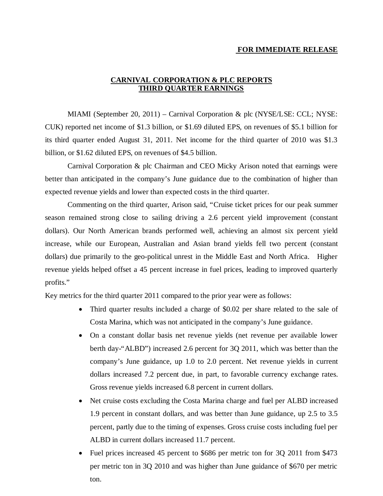# **FOR IMMEDIATE RELEASE**

# **CARNIVAL CORPORATION & PLC REPORTS THIRD QUARTER EARNINGS**

MIAMI (September 20, 2011) – Carnival Corporation & plc (NYSE/LSE: CCL; NYSE: CUK) reported net income of \$1.3 billion, or \$1.69 diluted EPS, on revenues of \$5.1 billion for its third quarter ended August 31, 2011. Net income for the third quarter of 2010 was \$1.3 billion, or \$1.62 diluted EPS, on revenues of \$4.5 billion.

Carnival Corporation & plc Chairman and CEO Micky Arison noted that earnings were better than anticipated in the company's June guidance due to the combination of higher than expected revenue yields and lower than expected costs in the third quarter.

Commenting on the third quarter, Arison said, "Cruise ticket prices for our peak summer season remained strong close to sailing driving a 2.6 percent yield improvement (constant dollars). Our North American brands performed well, achieving an almost six percent yield increase, while our European, Australian and Asian brand yields fell two percent (constant dollars) due primarily to the geo-political unrest in the Middle East and North Africa. Higher revenue yields helped offset a 45 percent increase in fuel prices, leading to improved quarterly profits."

Key metrics for the third quarter 2011 compared to the prior year were as follows:

- Third quarter results included a charge of \$0.02 per share related to the sale of Costa Marina, which was not anticipated in the company's June guidance.
- On a constant dollar basis net revenue yields (net revenue per available lower berth day-"ALBD") increased 2.6 percent for 3Q 2011, which was better than the company's June guidance, up 1.0 to 2.0 percent. Net revenue yields in current dollars increased 7.2 percent due, in part, to favorable currency exchange rates. Gross revenue yields increased 6.8 percent in current dollars.
- Net cruise costs excluding the Costa Marina charge and fuel per ALBD increased 1.9 percent in constant dollars, and was better than June guidance, up 2.5 to 3.5 percent, partly due to the timing of expenses. Gross cruise costs including fuel per ALBD in current dollars increased 11.7 percent.
- Fuel prices increased 45 percent to \$686 per metric ton for 3Q 2011 from \$473 per metric ton in 3Q 2010 and was higher than June guidance of \$670 per metric ton.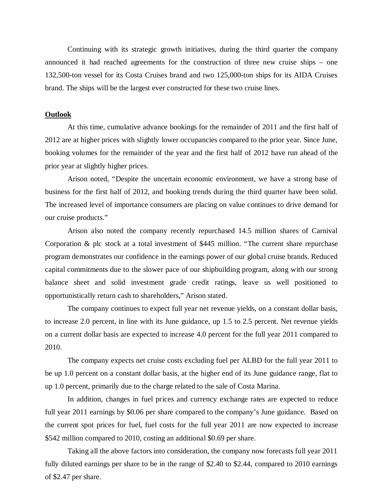Continuing with its strategic growth initiatives, during the third quarter the company announced it had reached agreements for the construction of three new cruise ships – one 132,500-ton vessel for its Costa Cruises brand and two 125,000-ton ships for its AIDA Cruises brand. The ships will be the largest ever constructed for these two cruise lines.

### **Outlook**

At this time, cumulative advance bookings for the remainder of 2011 and the first half of 2012 are at higher prices with slightly lower occupancies compared to the prior year. Since June, booking volumes for the remainder of the year and the first half of 2012 have run ahead of the prior year at slightly higher prices.

Arison noted, "Despite the uncertain economic environment, we have a strong base of business for the first half of 2012, and booking trends during the third quarter have been solid. The increased level of importance consumers are placing on value continues to drive demand for our cruise products."

Arison also noted the company recently repurchased 14.5 million shares of Carnival Corporation & plc stock at a total investment of \$445 million. "The current share repurchase program demonstrates our confidence in the earnings power of our global cruise brands. Reduced capital commitments due to the slower pace of our shipbuilding program, along with our strong balance sheet and solid investment grade credit ratings, leave us well positioned to opportunistically return cash to shareholders," Arison stated.

The company continues to expect full year net revenue yields, on a constant dollar basis, to increase 2.0 percent, in line with its June guidance, up 1.5 to 2.5 percent. Net revenue yields on a current dollar basis are expected to increase 4.0 percent for the full year 2011 compared to 2010.

The company expects net cruise costs excluding fuel per ALBD for the full year 2011 to be up 1.0 percent on a constant dollar basis, at the higher end of its June guidance range, flat to up 1.0 percent, primarily due to the charge related to the sale of Costa Marina.

In addition, changes in fuel prices and currency exchange rates are expected to reduce full year 2011 earnings by \$0.06 per share compared to the company's June guidance. Based on the current spot prices for fuel, fuel costs for the full year 2011 are now expected to increase \$542 million compared to 2010, costing an additional \$0.69 per share.

Taking all the above factors into consideration, the company now forecasts full year 2011 fully diluted earnings per share to be in the range of \$2.40 to \$2.44, compared to 2010 earnings of \$2.47 per share.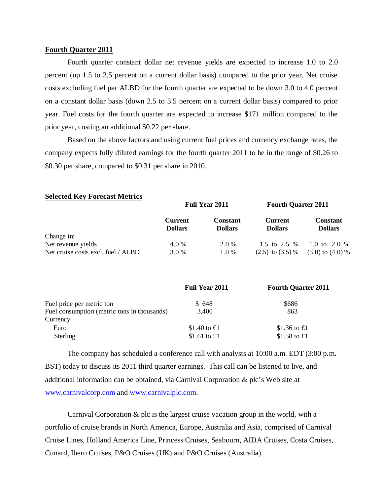### **Fourth Quarter 2011**

Fourth quarter constant dollar net revenue yields are expected to increase 1.0 to 2.0 percent (up 1.5 to 2.5 percent on a current dollar basis) compared to the prior year. Net cruise costs excluding fuel per ALBD for the fourth quarter are expected to be down 3.0 to 4.0 percent on a constant dollar basis (down 2.5 to 3.5 percent on a current dollar basis) compared to prior year. Fuel costs for the fourth quarter are expected to increase \$171 million compared to the prior year, costing an additional \$0.22 per share.

Based on the above factors and using current fuel prices and currency exchange rates, the company expects fully diluted earnings for the fourth quarter 2011 to be in the range of \$0.26 to \$0.30 per share, compared to \$0.31 per share in 2010.

| Delected Trev I offerable integrated |                                  | <b>Full Year 2011</b>             | <b>Fourth Quarter 2011</b>       |                                   |  |  |
|--------------------------------------|----------------------------------|-----------------------------------|----------------------------------|-----------------------------------|--|--|
|                                      | <b>Current</b><br><b>Dollars</b> | <b>Constant</b><br><b>Dollars</b> | <b>Current</b><br><b>Dollars</b> | <b>Constant</b><br><b>Dollars</b> |  |  |
| Change in:                           |                                  |                                   |                                  |                                   |  |  |
| Net revenue yields                   | 4.0 %                            | 2.0 %                             | 1.5 to 2.5 $%$                   | 1.0 to 2.0 %                      |  |  |
| Net cruise costs excl. fuel / ALBD   | 3.0 %                            | $1.0\%$                           | $(2.5)$ to $(3.5)$ %             | $(3.0)$ to $(4.0)$ %              |  |  |

### **Selected Key Forecast Metrics**

|                                             | <b>Full Year 2011</b> | <b>Fourth Quarter 2011</b> |  |  |  |
|---------------------------------------------|-----------------------|----------------------------|--|--|--|
| Fuel price per metric ton                   | \$648                 | \$686                      |  |  |  |
| Fuel consumption (metric tons in thousands) | 3,400                 | 863                        |  |  |  |
| Currency                                    |                       |                            |  |  |  |
| Euro                                        | \$1.40 to $\in$       | \$1.36 to $\in$            |  |  |  |
| Sterling                                    | \$1.61 to $\pounds1$  | \$1.58 to £1               |  |  |  |

The company has scheduled a conference call with analysts at 10:00 a.m. EDT (3:00 p.m. BST) today to discuss its 2011 third quarter earnings. This call can be listened to live, and additional information can be obtained, via Carnival Corporation & plc's Web site at www.carnivalcorp.com and www.carnivalplc.com.

Carnival Corporation  $\&$  plc is the largest cruise vacation group in the world, with a portfolio of cruise brands in North America, Europe, Australia and Asia, comprised of Carnival Cruise Lines, Holland America Line, Princess Cruises, Seabourn, AIDA Cruises, Costa Cruises, Cunard, Ibero Cruises, P&O Cruises (UK) and P&O Cruises (Australia).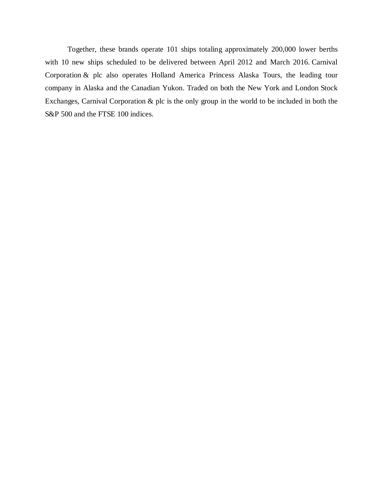Together, these brands operate 101 ships totaling approximately 200,000 lower berths with 10 new ships scheduled to be delivered between April 2012 and March 2016. Carnival Corporation & plc also operates Holland America Princess Alaska Tours, the leading tour company in Alaska and the Canadian Yukon. Traded on both the New York and London Stock Exchanges, Carnival Corporation & plc is the only group in the world to be included in both the S&P 500 and the FTSE 100 indices.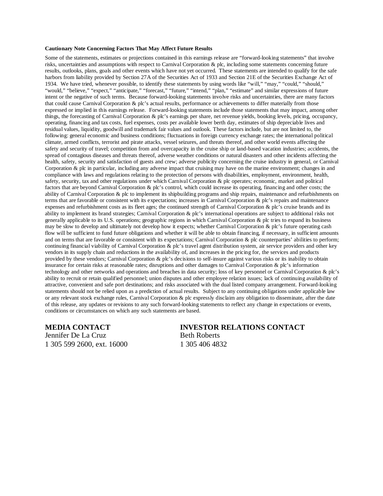#### **Cautionary Note Concerning Factors That May Affect Future Results**

Some of the statements, estimates or projections contained in this earnings release are "forward-looking statements" that involve risks, uncertainties and assumptions with respect to Carnival Corporation & plc, including some statements concerning future results, outlooks, plans, goals and other events which have not yet occurred. These statements are intended to qualify for the safe harbors from liability provided by Section 27A of the Securities Act of 1933 and Section 21E of the Securities Exchange Act of 1934. We have tried, whenever possible, to identify these statements by using words like "will," "may," "could," "should," "would," "believe," "expect," "anticipate," "forecast," "future," "intend," "plan," "estimate" and similar expressions of future intent or the negative of such terms. Because forward-looking statements involve risks and uncertainties, there are many factors that could cause Carnival Corporation & plc's actual results, performance or achievements to differ materially from those expressed or implied in this earnings release. Forward-looking statements include those statements that may impact, among other things, the forecasting of Carnival Corporation & plc's earnings per share, net revenue yields, booking levels, pricing, occupancy, operating, financing and tax costs, fuel expenses, costs per available lower berth day, estimates of ship depreciable lives and residual values, liquidity, goodwill and trademark fair values and outlook. These factors include, but are not limited to, the following: general economic and business conditions; fluctuations in foreign currency exchange rates; the international political climate, armed conflicts, terrorist and pirate attacks, vessel seizures, and threats thereof, and other world events affecting the safety and security of travel; competition from and overcapacity in the cruise ship or land-based vacation industries; accidents, the spread of contagious diseases and threats thereof, adverse weather conditions or natural disasters and other incidents affecting the health, safety, security and satisfaction of guests and crew; adverse publicity concerning the cruise industry in general, or Carnival Corporation & plc in particular, including any adverse impact that cruising may have on the marine environment; changes in and compliance with laws and regulations relating to the protection of persons with disabilities, employment, environment, health, safety, security, tax and other regulations under which Carnival Corporation & plc operates; economic, market and political factors that are beyond Carnival Corporation & plc's control, which could increase its operating, financing and other costs; the ability of Carnival Corporation & plc to implement its shipbuilding programs and ship repairs, maintenance and refurbishments on terms that are favorable or consistent with its expectations; increases in Carnival Corporation & plc's repairs and maintenance expenses and refurbishment costs as its fleet ages; the continued strength of Carnival Corporation & plc's cruise brands and its ability to implement its brand strategies; Carnival Corporation & plc's international operations are subject to additional risks not generally applicable to its U.S. operations; geographic regions in which Carnival Corporation & plc tries to expand its business may be slow to develop and ultimately not develop how it expects; whether Carnival Corporation  $\&$  plc's future operating cash flow will be sufficient to fund future obligations and whether it will be able to obtain financing, if necessary, in sufficient amounts and on terms that are favorable or consistent with its expectations; Carnival Corporation & plc counterparties' abilities to perform; continuing financial viability of Carnival Corporation & plc's travel agent distribution system, air service providers and other key vendors in its supply chain and reductions in the availability of, and increases in the pricing for, the services and products provided by these vendors; Carnival Corporation & plc's decisions to self-insure against various risks or its inability to obtain insurance for certain risks at reasonable rates; disruptions and other damages to Carnival Corporation & plc's information technology and other networks and operations and breaches in data security; loss of key personnel or Carnival Corporation & plc's ability to recruit or retain qualified personnel; union disputes and other employee relation issues; lack of continuing availability of attractive, convenient and safe port destinations; and risks associated with the dual listed company arrangement. Forward-looking statements should not be relied upon as a prediction of actual results. Subject to any continuing obligations under applicable law or any relevant stock exchange rules, Carnival Corporation & plc expressly disclaim any obligation to disseminate, after the date of this release, any updates or revisions to any such forward-looking statements to reflect any change in expectations or events, conditions or circumstances on which any such statements are based.

Jennifer De La Cruz Beth Roberts 1 305 599 2600, ext. 16000 1 305 406 4832

# **MEDIA CONTACT INVESTOR RELATIONS CONTACT**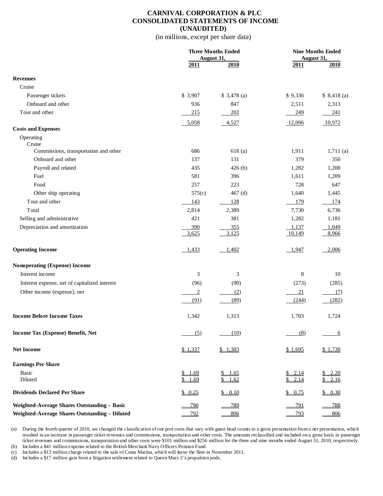### **CARNIVAL CORPORATION & PLC CONSOLIDATED STATEMENTS OF INCOME (UNAUDITED)**

(in millions, except per share data)

|                                                    |                | <b>Three Months Ended</b><br>August 31, |            | <b>Nine Months Ended</b><br><b>August 31,</b> |
|----------------------------------------------------|----------------|-----------------------------------------|------------|-----------------------------------------------|
|                                                    | 2011           | 2010                                    | 2011       | 2010                                          |
| <b>Revenues</b>                                    |                |                                         |            |                                               |
| Cruise                                             |                |                                         |            |                                               |
| Passenger tickets                                  | \$3,907        | \$3,478(a)                              | \$9,336    | \$8,418(a)                                    |
| Onboard and other                                  | 936            | 847                                     | 2,511      | 2,313                                         |
| Tour and other                                     | 215            | <u>202</u>                              | 249        | 241                                           |
|                                                    |                |                                         |            |                                               |
| <b>Costs and Expenses</b>                          | 5,058          | 4,527                                   | 12,096     | 10,972                                        |
| Operating                                          |                |                                         |            |                                               |
| Cruise<br>Commissions, transportation and other    | 686            | 618(a)                                  | 1,911      | 1,711(a)                                      |
| Onboard and other                                  | 137            | 131                                     | 379        | 350                                           |
| Payroll and related                                | 435            | 426(b)                                  | 1,282      | 1,200                                         |
| Fuel                                               | 581            | 396                                     | 1,611      | 1,209                                         |
| Food                                               | 257            | 223                                     | 728        | 647                                           |
| Other ship operating                               | 575(c)         | 467 $(d)$                               | 1.640      | 1,445                                         |
| Tour and other                                     | 143            | 128                                     | 179        | 174                                           |
| Total                                              | 2,814          | 2,389                                   | 7,730      | 6,736                                         |
| Selling and administrative                         | 421            | 381                                     | 1,282      | 1,181                                         |
| Depreciation and amortization                      | 390            | <u>355</u>                              | 1,137      | 1,049                                         |
|                                                    | 3,625          | 3,125                                   | 10,149     | 8,966                                         |
| <b>Operating Income</b>                            | 1,433          | 1,402                                   | 1,947      | 2,006                                         |
| Nonoperating (Expense) Income                      |                |                                         |            |                                               |
| Interest income                                    | 3              | 3                                       | 8          | 10                                            |
| Interest expense, net of capitalized interest      | (96)           | (90)                                    | (273)      | (285)                                         |
| Other income (expense), net                        | $\overline{2}$ | (2)                                     | <u>21</u>  | (7)                                           |
|                                                    | (91)           | (89)                                    | (244)      | (282)                                         |
| <b>Income Before Income Taxes</b>                  | 1,342          | 1,313                                   | 1,703      | 1,724                                         |
| Income Tax (Expense) Benefit, Net                  | (5)            | (10)                                    | (8)        | 6                                             |
| <b>Net Income</b>                                  | \$1,337        | \$1,303                                 | \$1,695    | \$1,730                                       |
| <b>Earnings Per Share</b>                          |                |                                         |            |                                               |
| Basic                                              | \$1.69         | 1.65                                    | 2.14       | 2.20                                          |
| Diluted                                            | \$1.69         | S.<br>1.62                              | \$2.14     | 2.16<br>S.                                    |
| <b>Dividends Declared Per Share</b>                | \$0.25         | \$0.10                                  | \$0.75     | \$0.30                                        |
| <b>Weighted-Average Shares Outstanding - Basic</b> | <u>790</u>     | <u>789</u>                              | <u>791</u> | <u>788</u>                                    |
| Weighted-Average Shares Outstanding - Diluted      | 792            | 806                                     | <u>793</u> | 806                                           |

(a) During the fourth quarter of 2010, we changed the classification of our port costs that vary with guest head counts to a gross presentation from a net presentation, which resulted in an increase in passenger ticket revenues and commissions, transportation and other costs. The amounts reclassified and included on a gross basis in passenger ticket revenues and commissions, transportation and other costs were \$101 million and \$256 million for the three and nine months ended August 31, 2010, respectively. (b) Includes a \$41 million expense related to the British Merchant Navy Officers Pension Fund.

(c) Includes a \$13 million charge related to the sale of Costa Marina, which will leave the fleet in November 2011.

(d) Includes a \$17 million gain from a litigation settlement related to Queen Mary 2's propulsion pods.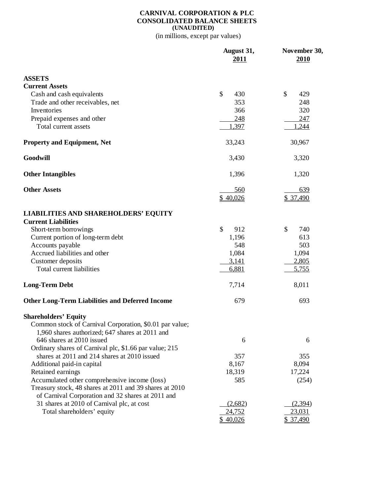### **CARNIVAL CORPORATION & PLC CONSOLIDATED BALANCE SHEETS (UNAUDITED)**

(in millions, except par values)

|                                                                    | August 31,<br><u>2011</u> | November 30,<br>2010 |
|--------------------------------------------------------------------|---------------------------|----------------------|
| <b>ASSETS</b>                                                      |                           |                      |
| <b>Current Assets</b>                                              |                           |                      |
| Cash and cash equivalents                                          | \$<br>430                 | \$<br>429            |
| Trade and other receivables, net                                   | 353                       | 248                  |
| Inventories                                                        | 366                       | 320                  |
| Prepaid expenses and other                                         | 248                       | 247                  |
| Total current assets                                               | 1,397                     | 1,244                |
| <b>Property and Equipment, Net</b>                                 | 33,243                    | 30,967               |
| Goodwill                                                           | 3,430                     | 3,320                |
| <b>Other Intangibles</b>                                           | 1,396                     | 1,320                |
| <b>Other Assets</b>                                                | 560                       | 639                  |
|                                                                    | \$40,026                  | \$ 37,490            |
| <b>LIABILITIES AND SHAREHOLDERS' EQUITY</b>                        |                           |                      |
| <b>Current Liabilities</b>                                         |                           |                      |
| Short-term borrowings                                              | \$<br>912                 | \$<br>740            |
| Current portion of long-term debt                                  | 1,196                     | 613                  |
| Accounts payable                                                   | 548                       | 503                  |
| Accrued liabilities and other                                      | 1,084<br>3,141            | 1,094                |
| Customer deposits<br>Total current liabilities                     | 6,881                     | 2,805<br>5,755       |
|                                                                    |                           |                      |
| <b>Long-Term Debt</b>                                              | 7,714                     | 8,011                |
| <b>Other Long-Term Liabilities and Deferred Income</b>             | 679                       | 693                  |
| <b>Shareholders' Equity</b>                                        |                           |                      |
| Common stock of Carnival Corporation, \$0.01 par value;            |                           |                      |
| 1,960 shares authorized; 647 shares at 2011 and                    |                           |                      |
| 646 shares at 2010 issued                                          | 6                         | 6                    |
| Ordinary shares of Carnival plc, \$1.66 par value; 215             |                           |                      |
| shares at 2011 and 214 shares at 2010 issued                       | 357                       | 355                  |
| Additional paid-in capital                                         | 8,167                     | 8,094                |
| Retained earnings<br>Accumulated other comprehensive income (loss) | 18,319<br>585             | 17,224<br>(254)      |
| Treasury stock, 48 shares at 2011 and 39 shares at 2010            |                           |                      |
| of Carnival Corporation and 32 shares at 2011 and                  |                           |                      |
| 31 shares at 2010 of Carnival plc, at cost                         | (2,682)                   | (2,394)              |
| Total shareholders' equity                                         | 24,752                    | 23,031               |
|                                                                    | \$40,026                  | \$ 37,490            |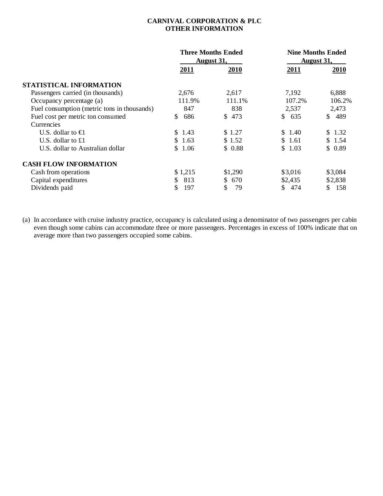# **CARNIVAL CORPORATION & PLC OTHER INFORMATION**

|                                             |             | <b>Three Months Ended</b><br><u>August 31,</u> | <b>Nine Months Ended</b><br><b>August 31,</b> |           |  |  |
|---------------------------------------------|-------------|------------------------------------------------|-----------------------------------------------|-----------|--|--|
|                                             | <b>2011</b> | 2010                                           | <u>2011</u>                                   | 2010      |  |  |
| STATISTICAL INFORMATION                     |             |                                                |                                               |           |  |  |
| Passengers carried (in thousands)           | 2,676       | 2,617                                          | 7,192                                         | 6,888     |  |  |
| Occupancy percentage (a)                    | 111.9%      | 111.1%                                         | 107.2%                                        | 106.2%    |  |  |
| Fuel consumption (metric tons in thousands) | 847         | 838                                            | 2,537                                         | 2,473     |  |  |
| Fuel cost per metric ton consumed           | 686<br>S.   | \$ 473                                         | \$635                                         | \$489     |  |  |
| Currencies                                  |             |                                                |                                               |           |  |  |
| U.S. dollar to $\bigoplus$                  | \$ 1.43     | \$1.27                                         | \$1.40                                        | \$1.32    |  |  |
| U.S. dollar to $£1$                         | \$1.63      | \$1.52                                         | \$1.61                                        | \$1.54    |  |  |
| U.S. dollar to Australian dollar            | \$1.06      | \$0.88                                         | \$1.03                                        | \$0.89    |  |  |
| <b>CASH FLOW INFORMATION</b>                |             |                                                |                                               |           |  |  |
| Cash from operations                        | \$1,215     | \$1,290                                        | \$3,016                                       | \$3,084   |  |  |
| Capital expenditures                        | 813<br>\$.  | 670<br>\$.                                     | \$2,435                                       | \$2,838   |  |  |
| Dividends paid                              | 197         | 79                                             | 474<br>S.                                     | 158<br>S. |  |  |

(a) In accordance with cruise industry practice, occupancy is calculated using a denominator of two passengers per cabin even though some cabins can accommodate three or more passengers. Percentages in excess of 100% indicate that on average more than two passengers occupied some cabins.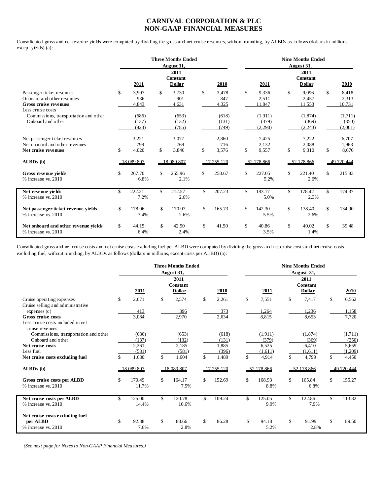# **CARNIVAL CORPORATION & PLC NON-GAAP FINANCIAL MEASURES**

Consolidated gross and net revenue yields were computed by dividing the gross and net cruise revenues, without rounding, by ALBDs as follows (dollars in millions, except yields) (a):

|                                                                                                              | <b>Three Months Ended</b><br>August 31, |                         |    |                                   |    |                         | <b>Nine Months Ended</b><br>August 31, |                             |    |                                   |    |                             |  |
|--------------------------------------------------------------------------------------------------------------|-----------------------------------------|-------------------------|----|-----------------------------------|----|-------------------------|----------------------------------------|-----------------------------|----|-----------------------------------|----|-----------------------------|--|
|                                                                                                              |                                         | 2011                    |    | 2011<br>Constant<br><b>Dollar</b> |    | 2010                    |                                        | 2011                        |    | 2011<br>Constant<br><b>Dollar</b> |    | 2010                        |  |
| Passenger ticket revenues<br>Onboard and other revenues<br><b>Gross cruise revenues</b><br>Less cruise costs | \$                                      | 3,907<br>936<br>4,843   | \$ | 3,730<br>901<br>4,631             | \$ | 3,478<br>847<br>4,325   | \$                                     | 9,336<br>2,511<br>11,847    | \$ | 9.096<br>2,457<br>11,553          | \$ | 8,418<br>2,313<br>10,731    |  |
| Commissions, transportation and other<br>Onboard and other                                                   |                                         | (686)<br>(137)<br>(823) |    | (653)<br>(132)<br>(785)           |    | (618)<br>(131)<br>(749) |                                        | (1,911)<br>(379)<br>(2,290) |    | (1,874)<br>(369)<br>(2, 243)      |    | (1,711)<br>(350)<br>(2,061) |  |
| Net passenger ticket revenues<br>Net onboard and other revenues<br>Net cruise revenues                       |                                         | 3,221<br>799<br>4,020   |    | 3,077<br>769<br>3,846             |    | 2,860<br>716<br>3.576   |                                        | 7,425<br>2,132<br>9,557     |    | 7,222<br>2,088<br>9.310           |    | 6,707<br>1,963<br>8.670     |  |
| ALBDs (b)                                                                                                    |                                         | 18.089.807              |    | 18.089.807                        |    | 17.255.120              |                                        | 52.178.866                  |    | 52,178,866                        |    | 49.720.444                  |  |
| Gross revenue vields<br>% increase vs. 2010                                                                  | \$                                      | 267.70<br>6.8%          | \$ | 255.96<br>2.1%                    | \$ | 250.67                  | \$                                     | 227.05<br>5.2%              | \$ | 221.40<br>2.6%                    | \$ | 215.83                      |  |
| Net revenue vields<br>$%$ increase vs. 2010                                                                  | \$                                      | 222.21<br>7.2%          | \$ | 212.57<br>2.6%                    | \$ | 207.23                  | \$                                     | 183.17<br>5.0%              | \$ | 178.42<br>2.3%                    | \$ | 174.37                      |  |
| Net passenger ticket revenue yields<br>$%$ increase vs. 2010                                                 | \$                                      | 178.06<br>7.4%          | \$ | 170.07<br>2.6%                    | \$ | 165.73                  | \$                                     | 142.30<br>5.5%              | \$ | 138.40<br>2.6%                    | \$ | 134.90                      |  |
| Net onboard and other revenue vields<br>% increase vs. 2010                                                  | \$                                      | 44.15<br>6.4%           | \$ | 42.50<br>2.4%                     | \$ | 41.50                   | \$                                     | 40.86<br>3.5%               | \$ | 40.02<br>1.4%                     | \$ | 39.48                       |  |

Consolidated gross and net cruise costs and net cruise costs excluding fuel per ALBD were computed by dividing the gross and net cruise costs and net cruise costs excluding fuel, without rounding, by ALBDs as follows (dollars in millions, except costs per ALBD) (a):

|                                                                | <b>Three Months Ended</b><br>August 31, |            |    |                                   |    |            | <b>Nine Months Ended</b><br>August 31, |            |    |                            |    |            |  |
|----------------------------------------------------------------|-----------------------------------------|------------|----|-----------------------------------|----|------------|----------------------------------------|------------|----|----------------------------|----|------------|--|
|                                                                |                                         | 2011       |    | 2011<br>Constant<br><b>Dollar</b> |    | 2010       |                                        | 2011       |    | 2011<br>Constant<br>Dollar |    | 2010       |  |
| Cruise operating expenses<br>Cruise selling and administrative | \$                                      | 2,671      | \$ | 2,574                             | \$ | 2,261      | \$                                     | 7,551      | \$ | 7,417                      | \$ | 6,562      |  |
| expenses(c)                                                    |                                         | 413        |    | 396                               |    | 373        |                                        | 1,264      |    | 1,236                      |    | 1,158      |  |
| <b>Gross cruise costs</b>                                      |                                         | 3,084      |    | 2,970                             |    | 2,634      |                                        | 8,815      |    | 8,653                      |    | 7,720      |  |
| Less cruise costs included in net<br>cruise revenues           |                                         |            |    |                                   |    |            |                                        |            |    |                            |    |            |  |
| Commissions, transportation and other                          |                                         | (686)      |    | (653)                             |    | (618)      |                                        | (1,911)    |    | (1,874)                    |    | (1,711)    |  |
| Onboard and other                                              |                                         | (137)      |    | (132)                             |    | (131)      |                                        | (379)      |    | (369)                      |    | (350)      |  |
| Net cruise costs                                               |                                         | 2,261      |    | 2,185                             |    | 1,885      |                                        | 6,525      |    | 6,410                      |    | 5,659      |  |
| Less fuel                                                      |                                         | (581)      |    | (581)                             |    | (396)      |                                        | (1,611)    |    | (1,611)                    |    | (1,209)    |  |
| Net cruise costs excluding fuel                                |                                         | .680       |    | .604                              |    | ,489       |                                        | 4.914      |    | 4.799                      |    | 4.450      |  |
| ALBDs (b)                                                      |                                         | 18.089.807 |    | 18,089,807                        |    | 17,255,120 |                                        | 52,178,866 |    | 52,178,866                 |    | 49.720.444 |  |
| Gross cruise costs per ALBD                                    | \$                                      | 170.49     | \$ | 164.17                            | \$ | 152.69     | \$                                     | 168.93     | \$ | 165.84                     | \$ | 155.27     |  |
| % increase vs. 2010                                            |                                         | 11.7%      |    | 7.5%                              |    |            |                                        | 8.8%       |    | 6.8%                       |    |            |  |
| Net cruise costs per ALBD                                      | \$                                      | 125.00     | \$ | 120.78                            | \$ | 109.24     | \$                                     | 125.05     | \$ | 122.86                     | \$ | 113.82     |  |
| % increase vs. 2010                                            |                                         | 14.4%      |    | 10.6%                             |    |            |                                        | 9.9%       |    | 7.9%                       |    |            |  |
| Net cruise costs excluding fuel                                |                                         |            |    |                                   |    |            |                                        |            |    |                            |    |            |  |
| per ALBD                                                       | \$                                      | 92.88      | \$ | 88.66                             | \$ | 86.28      | \$                                     | 94.18      | \$ | 91.99                      | \$ | 89.50      |  |
| % increase vs. 2010                                            |                                         | 7.6%       |    | 2.8%                              |    |            |                                        | 5.2%       |    | 2.8%                       |    |            |  |

 *(See next page for Notes to Non-GAAP Financial Measures.)*